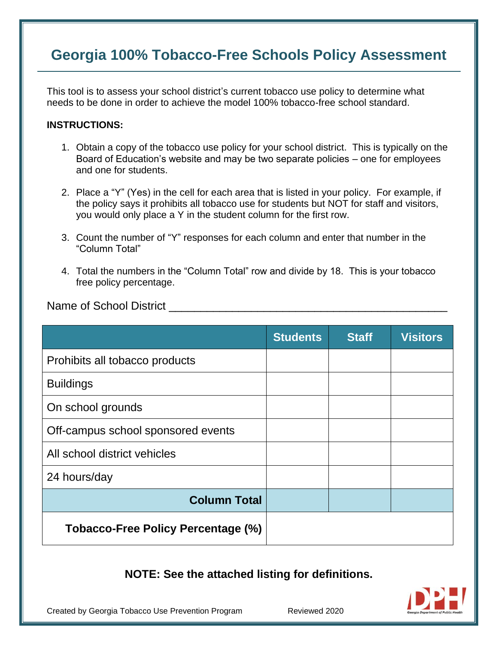## **Georgia 100% Tobacco-Free Schools Policy Assessment**

This tool is to assess your school district's current tobacco use policy to determine what needs to be done in order to achieve the model 100% tobacco-free school standard.

### **INSTRUCTIONS:**

- 1. Obtain a copy of the tobacco use policy for your school district. This is typically on the Board of Education's website and may be two separate policies – one for employees and one for students.
- 2. Place a "Y" (Yes) in the cell for each area that is listed in your policy. For example, if the policy says it prohibits all tobacco use for students but NOT for staff and visitors, you would only place a Y in the student column for the first row.
- 3. Count the number of "Y" responses for each column and enter that number in the "Column Total"
- 4. Total the numbers in the "Column Total" row and divide by 18. This is your tobacco free policy percentage.

Name of School District **Name** of School District

|                                    | <b>Students</b> | <b>Staff</b> | <b>Visitors</b> |
|------------------------------------|-----------------|--------------|-----------------|
| Prohibits all tobacco products     |                 |              |                 |
| <b>Buildings</b>                   |                 |              |                 |
| On school grounds                  |                 |              |                 |
| Off-campus school sponsored events |                 |              |                 |
| All school district vehicles       |                 |              |                 |
| 24 hours/day                       |                 |              |                 |
| <b>Column Total</b>                |                 |              |                 |
| Tobacco-Free Policy Percentage (%) |                 |              |                 |

### **NOTE: See the attached listing for definitions.**